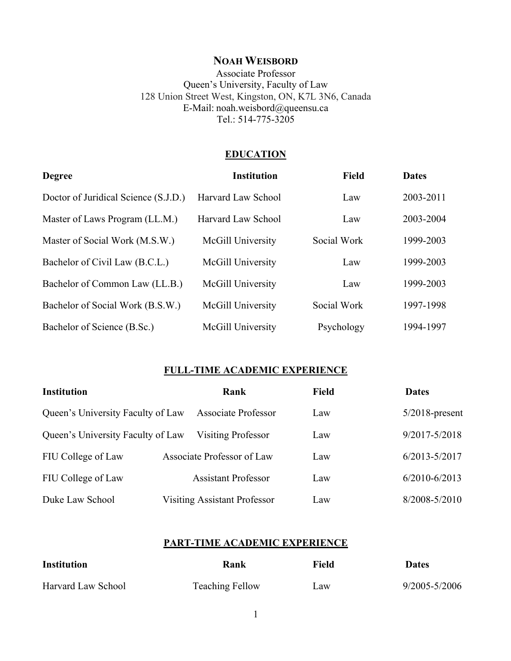## **NOAH WEISBORD**

Associate Professor Queen's University, Faculty of Law 128 Union Street West, Kingston, ON, K7L 3N6, Canada E-Mail: noah.weisbord@queensu.ca Tel.: 514-775-3205

#### **EDUCATION**

| <b>Degree</b>                        | <b>Institution</b>        | <b>Field</b> | <b>Dates</b> |
|--------------------------------------|---------------------------|--------------|--------------|
| Doctor of Juridical Science (S.J.D.) | Harvard Law School        | Law          | 2003-2011    |
| Master of Laws Program (LL.M.)       | <b>Harvard Law School</b> | Law          | 2003-2004    |
| Master of Social Work (M.S.W.)       | McGill University         | Social Work  | 1999-2003    |
| Bachelor of Civil Law (B.C.L.)       | McGill University         | Law          | 1999-2003    |
| Bachelor of Common Law (LL.B.)       | McGill University         | Law          | 1999-2003    |
| Bachelor of Social Work (B.S.W.)     | McGill University         | Social Work  | 1997-1998    |
| Bachelor of Science (B.Sc.)          | <b>McGill University</b>  | Psychology   | 1994-1997    |

### **FULL-TIME ACADEMIC EXPERIENCE**

| <b>Institution</b>                | Rank                                | <b>Field</b> | <b>Dates</b>      |
|-----------------------------------|-------------------------------------|--------------|-------------------|
| Queen's University Faculty of Law | <b>Associate Professor</b>          | Law          | $5/2018$ -present |
| Queen's University Faculty of Law | <b>Visiting Professor</b>           | Law          | 9/2017-5/2018     |
| FIU College of Law                | Associate Professor of Law          | Law          | $6/2013 - 5/2017$ |
| FIU College of Law                | <b>Assistant Professor</b>          | Law          | $6/2010 - 6/2013$ |
| Duke Law School                   | <b>Visiting Assistant Professor</b> | Law          | 8/2008-5/2010     |

#### **PART-TIME ACADEMIC EXPERIENCE**

| <b>Institution</b>        | Rank                   | Field           | <b>Dates</b>  |
|---------------------------|------------------------|-----------------|---------------|
| <b>Harvard Law School</b> | <b>Teaching Fellow</b> | $\mathbf{L}$ aw | 9/2005-5/2006 |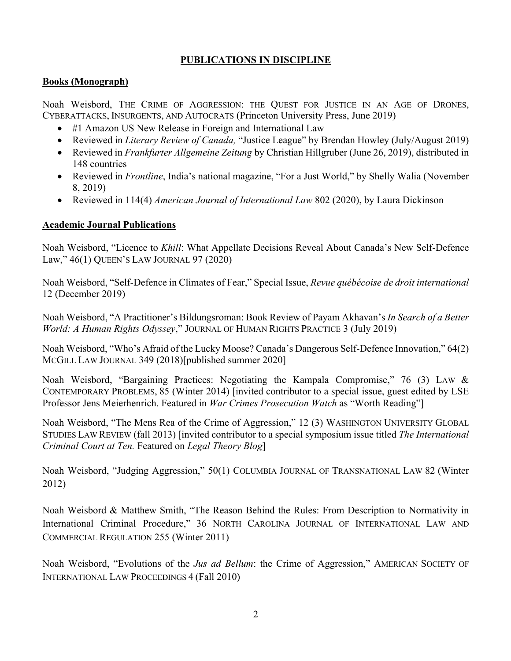## **PUBLICATIONS IN DISCIPLINE**

#### **Books (Monograph)**

Noah Weisbord, THE CRIME OF AGGRESSION: THE QUEST FOR JUSTICE IN AN AGE OF DRONES, CYBERATTACKS, INSURGENTS, AND AUTOCRATS (Princeton University Press, June 2019)

- #1 Amazon US New Release in Foreign and International Law
- Reviewed in *Literary Review of Canada,* "Justice League" by Brendan Howley (July/August 2019)
- Reviewed in *Frankfurter Allgemeine Zeitung* by Christian Hillgruber (June 26, 2019), distributed in 148 countries
- Reviewed in *Frontline*, India's national magazine, "For a Just World," by Shelly Walia (November 8, 2019)
- Reviewed in 114(4) *American Journal of International Law* 802 (2020), by Laura Dickinson

#### **Academic Journal Publications**

Noah Weisbord, "Licence to *Khill*: What Appellate Decisions Reveal About Canada's New Self-Defence Law," 46(1) QUEEN'S LAW JOURNAL 97 (2020)

Noah Weisbord, "Self-Defence in Climates of Fear," Special Issue, *Revue québécoise de droit international*  12 (December 2019)

Noah Weisbord, "A Practitioner's Bildungsroman: Book Review of Payam Akhavan's *In Search of a Better World: A Human Rights Odyssey*," JOURNAL OF HUMAN RIGHTS PRACTICE 3 (July 2019)

Noah Weisbord, "Who's Afraid of the Lucky Moose? Canada's Dangerous Self-Defence Innovation," 64(2) MCGILL LAW JOURNAL 349 (2018)[published summer 2020]

Noah Weisbord, "Bargaining Practices: Negotiating the Kampala Compromise," 76 (3) LAW & CONTEMPORARY PROBLEMS, 85 (Winter 2014) [invited contributor to a special issue, guest edited by LSE Professor Jens Meierhenrich. Featured in *War Crimes Prosecution Watch* as "Worth Reading"]

Noah Weisbord, "The Mens Rea of the Crime of Aggression," 12 (3) WASHINGTON UNIVERSITY GLOBAL STUDIES LAW REVIEW (fall 2013) [invited contributor to a special symposium issue titled *The International Criminal Court at Ten.* Featured on *Legal Theory Blog*]

Noah Weisbord, "Judging Aggression," 50(1) COLUMBIA JOURNAL OF TRANSNATIONAL LAW 82 (Winter 2012)

Noah Weisbord & Matthew Smith, "The Reason Behind the Rules: From Description to Normativity in International Criminal Procedure," 36 NORTH CAROLINA JOURNAL OF INTERNATIONAL LAW AND COMMERCIAL REGULATION 255 (Winter 2011)

Noah Weisbord, "Evolutions of the *Jus ad Bellum*: the Crime of Aggression," AMERICAN SOCIETY OF INTERNATIONAL LAW PROCEEDINGS 4 (Fall 2010)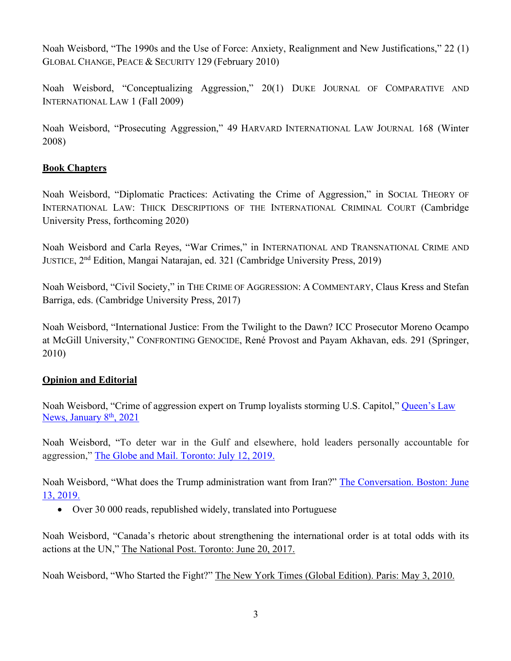Noah Weisbord, "The 1990s and the Use of Force: Anxiety, Realignment and New Justifications," 22 (1) GLOBAL CHANGE, PEACE & SECURITY 129 (February 2010)

Noah Weisbord, "Conceptualizing Aggression," 20(1) DUKE JOURNAL OF COMPARATIVE AND INTERNATIONAL LAW 1 (Fall 2009)

Noah Weisbord, "Prosecuting Aggression," 49 HARVARD INTERNATIONAL LAW JOURNAL 168 (Winter 2008)

### **Book Chapters**

Noah Weisbord, "Diplomatic Practices: Activating the Crime of Aggression," in SOCIAL THEORY OF INTERNATIONAL LAW: THICK DESCRIPTIONS OF THE INTERNATIONAL CRIMINAL COURT (Cambridge University Press, forthcoming 2020)

Noah Weisbord and Carla Reyes, "War Crimes," in INTERNATIONAL AND TRANSNATIONAL CRIME AND JUSTICE, 2<sup>nd</sup> Edition, Mangai Natarajan, ed. 321 (Cambridge University Press, 2019)

Noah Weisbord, "Civil Society," in THE CRIME OF AGGRESSION: A COMMENTARY, Claus Kress and Stefan Barriga, eds. (Cambridge University Press, 2017)

Noah Weisbord, "International Justice: From the Twilight to the Dawn? ICC Prosecutor Moreno Ocampo at McGill University," CONFRONTING GENOCIDE, René Provost and Payam Akhavan, eds. 291 (Springer, 2010)

#### **Opinion and Editorial**

Noah Weisbord, "Crime of aggression expert on Trump loyalists storming U.S. Capitol," Queen's Law News, January  $8<sup>th</sup>$ , 2021

Noah Weisbord, "To deter war in the Gulf and elsewhere, hold leaders personally accountable for aggression," The Globe and Mail. Toronto: July 12, 2019.

Noah Weisbord, "What does the Trump administration want from Iran?" The Conversation. Boston: June 13, 2019.

• Over 30 000 reads, republished widely, translated into Portuguese

Noah Weisbord, "Canada's rhetoric about strengthening the international order is at total odds with its actions at the UN," The National Post. Toronto: June 20, 2017.

Noah Weisbord, "Who Started the Fight?" The New York Times (Global Edition). Paris: May 3, 2010.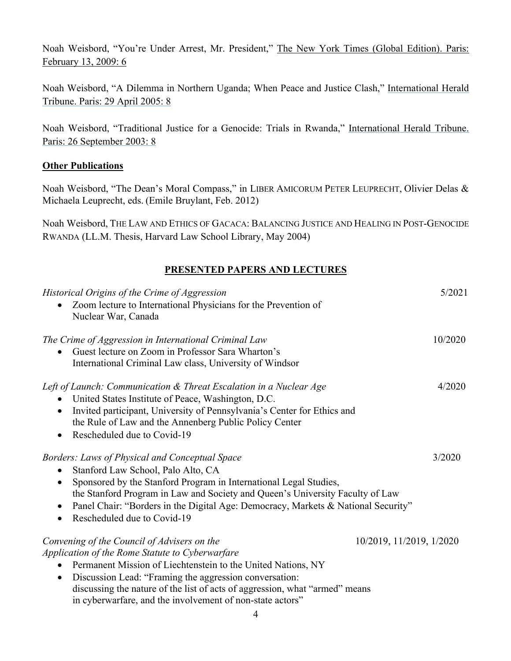Noah Weisbord, "You're Under Arrest, Mr. President," The New York Times (Global Edition). Paris: February 13, 2009: 6

Noah Weisbord, "A Dilemma in Northern Uganda; When Peace and Justice Clash," International Herald Tribune. Paris: 29 April 2005: 8

Noah Weisbord, "Traditional Justice for a Genocide: Trials in Rwanda," International Herald Tribune. Paris: 26 September 2003: 8

#### **Other Publications**

Noah Weisbord, "The Dean's Moral Compass," in LIBER AMICORUM PETER LEUPRECHT, Olivier Delas & Michaela Leuprecht, eds. (Emile Bruylant, Feb. 2012)

Noah Weisbord, THE LAW AND ETHICS OF GACACA: BALANCING JUSTICE AND HEALING IN POST-GENOCIDE RWANDA (LL.M. Thesis, Harvard Law School Library, May 2004)

#### **PRESENTED PAPERS AND LECTURES**

| Historical Origins of the Crime of Aggression<br>Zoom lecture to International Physicians for the Prevention of<br>Nuclear War, Canada                                                                                                                                                                                                                                                                        | 5/2021  |
|---------------------------------------------------------------------------------------------------------------------------------------------------------------------------------------------------------------------------------------------------------------------------------------------------------------------------------------------------------------------------------------------------------------|---------|
| The Crime of Aggression in International Criminal Law<br>Guest lecture on Zoom in Professor Sara Wharton's<br>International Criminal Law class, University of Windsor                                                                                                                                                                                                                                         | 10/2020 |
| Left of Launch: Communication & Threat Escalation in a Nuclear Age<br>United States Institute of Peace, Washington, D.C.<br>Invited participant, University of Pennsylvania's Center for Ethics and<br>$\bullet$<br>the Rule of Law and the Annenberg Public Policy Center<br>Rescheduled due to Covid-19                                                                                                     | 4/2020  |
| Borders: Laws of Physical and Conceptual Space<br>Stanford Law School, Palo Alto, CA<br>Sponsored by the Stanford Program in International Legal Studies,<br>the Stanford Program in Law and Society and Queen's University Faculty of Law<br>Panel Chair: "Borders in the Digital Age: Democracy, Markets & National Security"<br>Rescheduled due to Covid-19<br>$\bullet$                                   | 3/2020  |
| Convening of the Council of Advisers on the<br>10/2019, 11/2019, 1/2020<br>Application of the Rome Statute to Cyberwarfare<br>Permanent Mission of Liechtenstein to the United Nations, NY<br>Discussion Lead: "Framing the aggression conversation:<br>$\bullet$<br>discussing the nature of the list of acts of aggression, what "armed" means<br>in cyberwarfare, and the involvement of non-state actors" |         |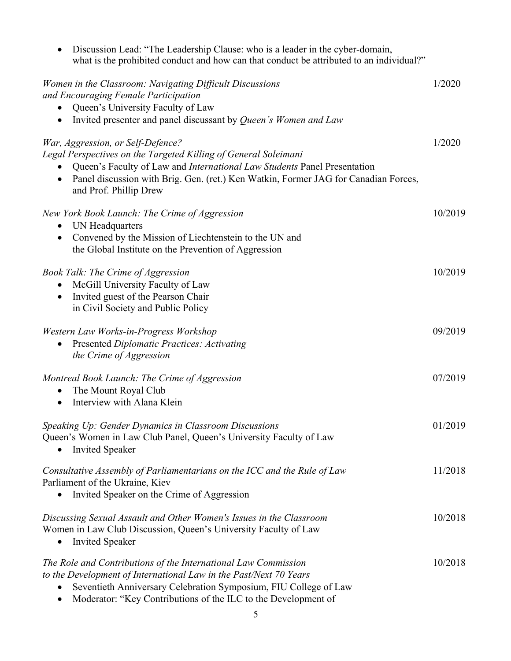| Discussion Lead: "The Leadership Clause: who is a leader in the cyber-domain,<br>what is the prohibited conduct and how can that conduct be attributed to an individual?"                                                                                                                         |         |
|---------------------------------------------------------------------------------------------------------------------------------------------------------------------------------------------------------------------------------------------------------------------------------------------------|---------|
| Women in the Classroom: Navigating Difficult Discussions<br>and Encouraging Female Participation<br>Queen's University Faculty of Law<br>Invited presenter and panel discussant by Queen's Women and Law                                                                                          | 1/2020  |
| War, Aggression, or Self-Defence?<br>Legal Perspectives on the Targeted Killing of General Soleimani<br>Queen's Faculty of Law and International Law Students Panel Presentation<br>Panel discussion with Brig. Gen. (ret.) Ken Watkin, Former JAG for Canadian Forces,<br>and Prof. Phillip Drew | 1/2020  |
| New York Book Launch: The Crime of Aggression<br>UN Headquarters<br>Convened by the Mission of Liechtenstein to the UN and<br>the Global Institute on the Prevention of Aggression                                                                                                                | 10/2019 |
| <b>Book Talk: The Crime of Aggression</b><br>McGill University Faculty of Law<br>Invited guest of the Pearson Chair<br>in Civil Society and Public Policy                                                                                                                                         | 10/2019 |
| Western Law Works-in-Progress Workshop<br><b>Presented Diplomatic Practices: Activating</b><br>٠<br>the Crime of Aggression                                                                                                                                                                       | 09/2019 |
| Montreal Book Launch: The Crime of Aggression<br>The Mount Royal Club<br>Interview with Alana Klein                                                                                                                                                                                               | 07/2019 |
| Speaking Up: Gender Dynamics in Classroom Discussions<br>Queen's Women in Law Club Panel, Queen's University Faculty of Law<br><b>Invited Speaker</b>                                                                                                                                             | 01/2019 |
| Consultative Assembly of Parliamentarians on the ICC and the Rule of Law<br>Parliament of the Ukraine, Kiev<br>Invited Speaker on the Crime of Aggression                                                                                                                                         | 11/2018 |
| Discussing Sexual Assault and Other Women's Issues in the Classroom<br>Women in Law Club Discussion, Queen's University Faculty of Law<br><b>Invited Speaker</b>                                                                                                                                  | 10/2018 |
| The Role and Contributions of the International Law Commission<br>to the Development of International Law in the Past/Next 70 Years<br>Seventieth Anniversary Celebration Symposium, FIU College of Law<br>Moderator: "Key Contributions of the ILC to the Development of                         | 10/2018 |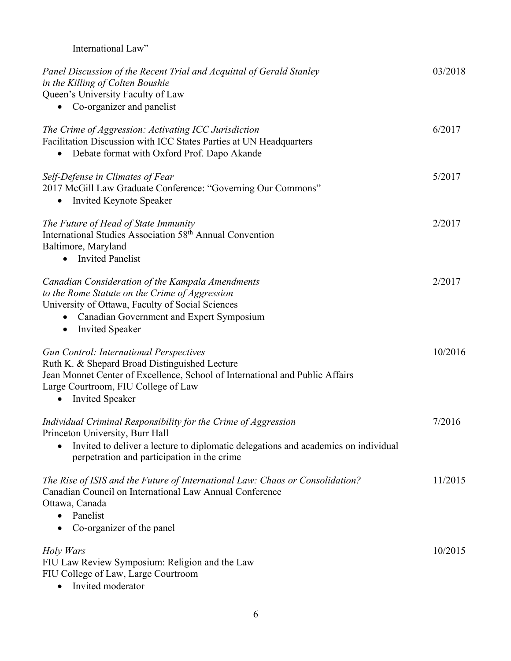| International Law"                                                                                                                                                                                                                                  |         |
|-----------------------------------------------------------------------------------------------------------------------------------------------------------------------------------------------------------------------------------------------------|---------|
| Panel Discussion of the Recent Trial and Acquittal of Gerald Stanley<br>in the Killing of Colten Boushie<br>Queen's University Faculty of Law<br>Co-organizer and panelist                                                                          | 03/2018 |
| The Crime of Aggression: Activating ICC Jurisdiction<br>Facilitation Discussion with ICC States Parties at UN Headquarters<br>Debate format with Oxford Prof. Dapo Akande<br>$\bullet$                                                              | 6/2017  |
| Self-Defense in Climates of Fear<br>2017 McGill Law Graduate Conference: "Governing Our Commons"<br><b>Invited Keynote Speaker</b><br>$\bullet$                                                                                                     | 5/2017  |
| The Future of Head of State Immunity<br>International Studies Association 58 <sup>th</sup> Annual Convention<br>Baltimore, Maryland<br><b>Invited Panelist</b><br>$\bullet$                                                                         | 2/2017  |
| Canadian Consideration of the Kampala Amendments<br>to the Rome Statute on the Crime of Aggression<br>University of Ottawa, Faculty of Social Sciences<br>Canadian Government and Expert Symposium<br><b>Invited Speaker</b><br>$\bullet$           | 2/2017  |
| <b>Gun Control: International Perspectives</b><br>Ruth K. & Shepard Broad Distinguished Lecture<br>Jean Monnet Center of Excellence, School of International and Public Affairs<br>Large Courtroom, FIU College of Law<br><b>Invited Speaker</b>    | 10/2016 |
| Individual Criminal Responsibility for the Crime of Aggression<br>Princeton University, Burr Hall<br>Invited to deliver a lecture to diplomatic delegations and academics on individual<br>$\bullet$<br>perpetration and participation in the crime | 7/2016  |
| The Rise of ISIS and the Future of International Law: Chaos or Consolidation?<br>Canadian Council on International Law Annual Conference<br>Ottawa, Canada<br>Panelist<br>Co-organizer of the panel                                                 | 11/2015 |
| Holy Wars<br>FIU Law Review Symposium: Religion and the Law<br>FIU College of Law, Large Courtroom                                                                                                                                                  | 10/2015 |

• Invited moderator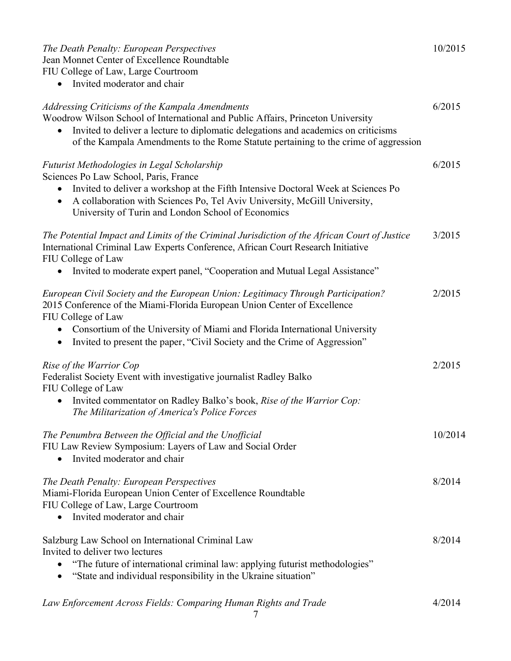## *The Death Penalty: European Perspectives* 10/2015 Jean Monnet Center of Excellence Roundtable

FIU College of Law, Large Courtroom

• Invited moderator and chair

| Addressing Criticisms of the Kampala Amendments<br>Woodrow Wilson School of International and Public Affairs, Princeton University<br>Invited to deliver a lecture to diplomatic delegations and academics on criticisms<br>of the Kampala Amendments to the Rome Statute pertaining to the crime of aggression                               |         |
|-----------------------------------------------------------------------------------------------------------------------------------------------------------------------------------------------------------------------------------------------------------------------------------------------------------------------------------------------|---------|
| Futurist Methodologies in Legal Scholarship<br>Sciences Po Law School, Paris, France<br>Invited to deliver a workshop at the Fifth Intensive Doctoral Week at Sciences Po<br>A collaboration with Sciences Po, Tel Aviv University, McGill University,<br>University of Turin and London School of Economics                                  | 6/2015  |
| The Potential Impact and Limits of the Criminal Jurisdiction of the African Court of Justice<br>International Criminal Law Experts Conference, African Court Research Initiative<br>FIU College of Law<br>Invited to moderate expert panel, "Cooperation and Mutual Legal Assistance"                                                         | 3/2015  |
| European Civil Society and the European Union: Legitimacy Through Participation?<br>2015 Conference of the Miami-Florida European Union Center of Excellence<br>FIU College of Law<br>Consortium of the University of Miami and Florida International University<br>Invited to present the paper, "Civil Society and the Crime of Aggression" | 2/2015  |
| Rise of the Warrior Cop<br>Federalist Society Event with investigative journalist Radley Balko<br>FIU College of Law<br>Invited commentator on Radley Balko's book, Rise of the Warrior Cop:<br>The Militarization of America's Police Forces                                                                                                 | 2/2015  |
| The Penumbra Between the Official and the Unofficial<br>FIU Law Review Symposium: Layers of Law and Social Order<br>Invited moderator and chair                                                                                                                                                                                               | 10/2014 |
| The Death Penalty: European Perspectives<br>Miami-Florida European Union Center of Excellence Roundtable<br>FIU College of Law, Large Courtroom<br>Invited moderator and chair                                                                                                                                                                | 8/2014  |
| Salzburg Law School on International Criminal Law<br>Invited to deliver two lectures<br>"The future of international criminal law: applying futurist methodologies"<br>"State and individual responsibility in the Ukraine situation"                                                                                                         | 8/2014  |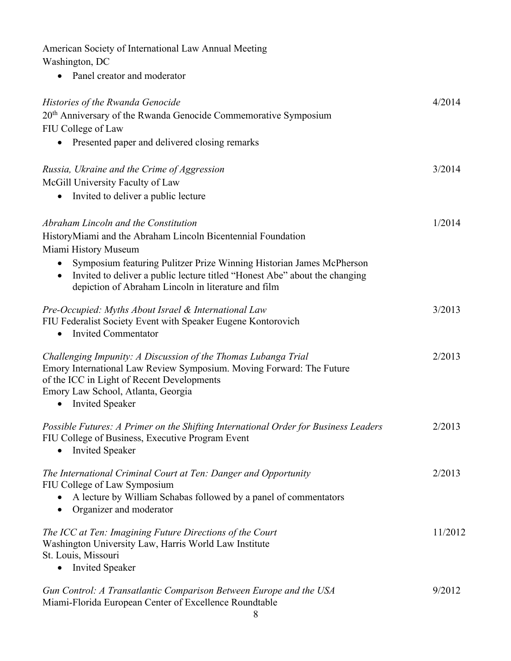| American Society of International Law Annual Meeting<br>Washington, DC                                                                                                                                                                                                                                                                         |         |
|------------------------------------------------------------------------------------------------------------------------------------------------------------------------------------------------------------------------------------------------------------------------------------------------------------------------------------------------|---------|
| Panel creator and moderator                                                                                                                                                                                                                                                                                                                    |         |
| Histories of the Rwanda Genocide<br>20 <sup>th</sup> Anniversary of the Rwanda Genocide Commemorative Symposium<br>FIU College of Law<br>Presented paper and delivered closing remarks<br>$\bullet$                                                                                                                                            | 4/2014  |
| Russia, Ukraine and the Crime of Aggression<br>McGill University Faculty of Law<br>Invited to deliver a public lecture<br>$\bullet$                                                                                                                                                                                                            | 3/2014  |
| Abraham Lincoln and the Constitution<br>HistoryMiami and the Abraham Lincoln Bicentennial Foundation<br>Miami History Museum<br>Symposium featuring Pulitzer Prize Winning Historian James McPherson<br>٠<br>Invited to deliver a public lecture titled "Honest Abe" about the changing<br>depiction of Abraham Lincoln in literature and film | 1/2014  |
| Pre-Occupied: Myths About Israel & International Law<br>FIU Federalist Society Event with Speaker Eugene Kontorovich<br><b>Invited Commentator</b><br>٠                                                                                                                                                                                        | 3/2013  |
| Challenging Impunity: A Discussion of the Thomas Lubanga Trial<br>Emory International Law Review Symposium. Moving Forward: The Future<br>of the ICC in Light of Recent Developments<br>Emory Law School, Atlanta, Georgia<br><b>Invited Speaker</b><br>$\bullet$                                                                              | 2/2013  |
| Possible Futures: A Primer on the Shifting International Order for Business Leaders<br>FIU College of Business, Executive Program Event<br><b>Invited Speaker</b><br>$\bullet$                                                                                                                                                                 | 2/2013  |
| The International Criminal Court at Ten: Danger and Opportunity<br>FIU College of Law Symposium<br>A lecture by William Schabas followed by a panel of commentators<br>Organizer and moderator<br>$\bullet$                                                                                                                                    | 2/2013  |
| The ICC at Ten: Imagining Future Directions of the Court<br>Washington University Law, Harris World Law Institute<br>St. Louis, Missouri<br><b>Invited Speaker</b><br>$\bullet$                                                                                                                                                                | 11/2012 |
| Gun Control: A Transatlantic Comparison Between Europe and the USA<br>Miami-Florida European Center of Excellence Roundtable                                                                                                                                                                                                                   | 9/2012  |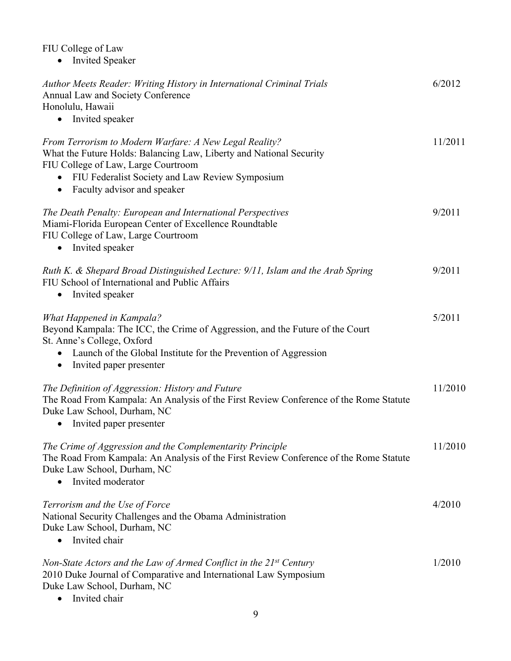#### FIU College of Law

• Invited Speaker

| Author Meets Reader: Writing History in International Criminal Trials<br><b>Annual Law and Society Conference</b><br>Honolulu, Hawaii<br>Invited speaker                                                                                                            | 6/2012  |
|---------------------------------------------------------------------------------------------------------------------------------------------------------------------------------------------------------------------------------------------------------------------|---------|
| From Terrorism to Modern Warfare: A New Legal Reality?<br>What the Future Holds: Balancing Law, Liberty and National Security<br>FIU College of Law, Large Courtroom<br>FIU Federalist Society and Law Review Symposium<br>Faculty advisor and speaker<br>$\bullet$ | 11/2011 |
| The Death Penalty: European and International Perspectives<br>Miami-Florida European Center of Excellence Roundtable<br>FIU College of Law, Large Courtroom<br>Invited speaker                                                                                      | 9/2011  |
| Ruth K. & Shepard Broad Distinguished Lecture: 9/11, Islam and the Arab Spring<br>FIU School of International and Public Affairs<br>Invited speaker                                                                                                                 | 9/2011  |
| <b>What Happened in Kampala?</b><br>Beyond Kampala: The ICC, the Crime of Aggression, and the Future of the Court<br>St. Anne's College, Oxford<br>Launch of the Global Institute for the Prevention of Aggression<br>Invited paper presenter<br>$\bullet$          | 5/2011  |
| The Definition of Aggression: History and Future<br>The Road From Kampala: An Analysis of the First Review Conference of the Rome Statute<br>Duke Law School, Durham, NC<br>Invited paper presenter<br>$\bullet$                                                    | 11/2010 |
| The Crime of Aggression and the Complementarity Principle<br>The Road From Kampala: An Analysis of the First Review Conference of the Rome Statute<br>Duke Law School, Durham, NC<br>Invited moderator                                                              | 11/2010 |
| Terrorism and the Use of Force<br>National Security Challenges and the Obama Administration<br>Duke Law School, Durham, NC<br>Invited chair                                                                                                                         | 4/2010  |
| Non-State Actors and the Law of Armed Conflict in the 21st Century<br>2010 Duke Journal of Comparative and International Law Symposium<br>Duke Law School, Durham, NC<br>Invited chair                                                                              | 1/2010  |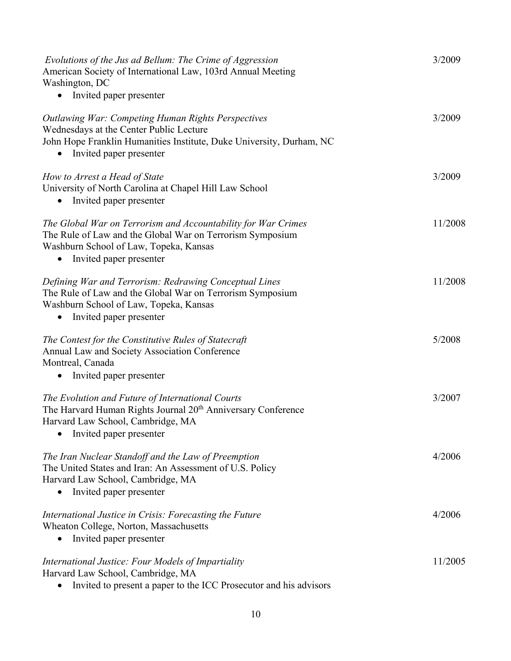| Evolutions of the Jus ad Bellum: The Crime of Aggression<br>American Society of International Law, 103rd Annual Meeting<br>Washington, DC                                                               | 3/2009  |
|---------------------------------------------------------------------------------------------------------------------------------------------------------------------------------------------------------|---------|
| Invited paper presenter<br>$\bullet$                                                                                                                                                                    |         |
| <b>Outlawing War: Competing Human Rights Perspectives</b><br>Wednesdays at the Center Public Lecture<br>John Hope Franklin Humanities Institute, Duke University, Durham, NC<br>Invited paper presenter | 3/2009  |
| How to Arrest a Head of State<br>University of North Carolina at Chapel Hill Law School<br>Invited paper presenter                                                                                      | 3/2009  |
| The Global War on Terrorism and Accountability for War Crimes<br>The Rule of Law and the Global War on Terrorism Symposium<br>Washburn School of Law, Topeka, Kansas<br>Invited paper presenter         | 11/2008 |
| Defining War and Terrorism: Redrawing Conceptual Lines<br>The Rule of Law and the Global War on Terrorism Symposium<br>Washburn School of Law, Topeka, Kansas<br>Invited paper presenter<br>$\bullet$   | 11/2008 |
| The Contest for the Constitutive Rules of Statecraft<br>Annual Law and Society Association Conference<br>Montreal, Canada<br>Invited paper presenter                                                    | 5/2008  |
| The Evolution and Future of International Courts<br>The Harvard Human Rights Journal 20 <sup>th</sup> Anniversary Conference<br>Harvard Law School, Cambridge, MA<br>Invited paper presenter            | 3/2007  |
| The Iran Nuclear Standoff and the Law of Preemption<br>The United States and Iran: An Assessment of U.S. Policy<br>Harvard Law School, Cambridge, MA<br>Invited paper presenter                         | 4/2006  |
| International Justice in Crisis: Forecasting the Future<br>Wheaton College, Norton, Massachusetts<br>Invited paper presenter                                                                            | 4/2006  |
| International Justice: Four Models of Impartiality<br>Harvard Law School, Cambridge, MA<br>Invited to present a paper to the ICC Prosecutor and his advisors                                            | 11/2005 |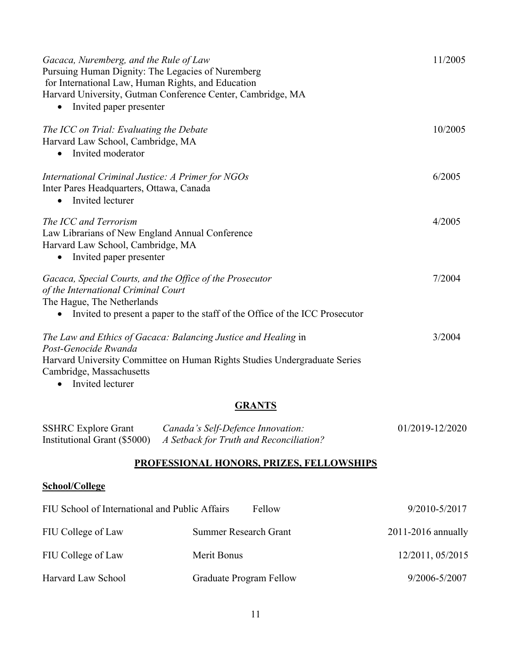| Gacaca, Nuremberg, and the Rule of Law<br>Pursuing Human Dignity: The Legacies of Nuremberg<br>for International Law, Human Rights, and Education<br>Harvard University, Gutman Conference Center, Cambridge, MA<br>Invited paper presenter | 11/2005 |
|---------------------------------------------------------------------------------------------------------------------------------------------------------------------------------------------------------------------------------------------|---------|
| The ICC on Trial: Evaluating the Debate<br>Harvard Law School, Cambridge, MA<br>Invited moderator                                                                                                                                           | 10/2005 |
| International Criminal Justice: A Primer for NGOs<br>Inter Pares Headquarters, Ottawa, Canada<br>Invited lecturer                                                                                                                           | 6/2005  |
| The ICC and Terrorism<br>Law Librarians of New England Annual Conference<br>Harvard Law School, Cambridge, MA<br>Invited paper presenter<br>$\bullet$                                                                                       | 4/2005  |
| Gacaca, Special Courts, and the Office of the Prosecutor<br>of the International Criminal Court<br>The Hague, The Netherlands<br>Invited to present a paper to the staff of the Office of the ICC Prosecutor                                | 7/2004  |
| The Law and Ethics of Gacaca: Balancing Justice and Healing in<br>Post-Genocide Rwanda<br>Harvard University Committee on Human Rights Studies Undergraduate Series<br>Cambridge, Massachusetts<br>Invited lecturer<br>$\bullet$            | 3/2004  |

## **GRANTS**

| <b>SSHRC</b> Explore Grant | Canada's Self-Defence Innovation:                                    | 01/2019-12/2020 |
|----------------------------|----------------------------------------------------------------------|-----------------|
|                            | Institutional Grant (\$5000) A Setback for Truth and Reconciliation? |                 |

## **PROFESSIONAL HONORS, PRIZES, FELLOWSHIPS**

## **School/College**

| FIU School of International and Public Affairs | Fellow                       | 9/2010-5/2017          |
|------------------------------------------------|------------------------------|------------------------|
| FIU College of Law                             | <b>Summer Research Grant</b> | $2011 - 2016$ annually |
| FIU College of Law                             | Merit Bonus                  | 12/2011, 05/2015       |
| Harvard Law School                             | Graduate Program Fellow      | 9/2006-5/2007          |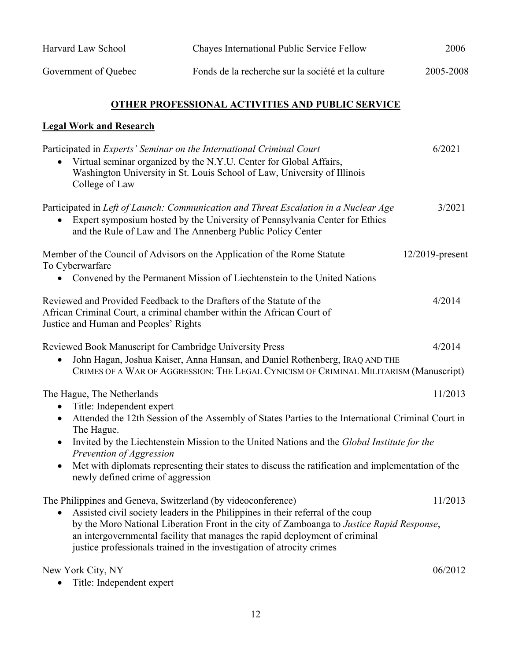| Harvard Law School   | Chayes International Public Service Fellow         | 2006      |
|----------------------|----------------------------------------------------|-----------|
| Government of Quebec | Fonds de la recherche sur la société et la culture | 2005-2008 |

## **OTHER PROFESSIONAL ACTIVITIES AND PUBLIC SERVICE**

# **Legal Work and Research**

| Participated in Experts' Seminar on the International Criminal Court<br>Virtual seminar organized by the N.Y.U. Center for Global Affairs,<br>Washington University in St. Louis School of Law, University of Illinois<br>College of Law                                                                                                                                                                                                                                                              | 6/2021             |
|-------------------------------------------------------------------------------------------------------------------------------------------------------------------------------------------------------------------------------------------------------------------------------------------------------------------------------------------------------------------------------------------------------------------------------------------------------------------------------------------------------|--------------------|
| Participated in Left of Launch: Communication and Threat Escalation in a Nuclear Age<br>Expert symposium hosted by the University of Pennsylvania Center for Ethics<br>and the Rule of Law and The Annenberg Public Policy Center                                                                                                                                                                                                                                                                     | 3/2021             |
| Member of the Council of Advisors on the Application of the Rome Statute<br>To Cyberwarfare<br>• Convened by the Permanent Mission of Liechtenstein to the United Nations                                                                                                                                                                                                                                                                                                                             | $12/2019$ -present |
| Reviewed and Provided Feedback to the Drafters of the Statute of the<br>African Criminal Court, a criminal chamber within the African Court of<br>Justice and Human and Peoples' Rights                                                                                                                                                                                                                                                                                                               | 4/2014             |
| Reviewed Book Manuscript for Cambridge University Press<br>John Hagan, Joshua Kaiser, Anna Hansan, and Daniel Rothenberg, IRAQ AND THE<br>CRIMES OF A WAR OF AGGRESSION: THE LEGAL CYNICISM OF CRIMINAL MILITARISM (Manuscript)                                                                                                                                                                                                                                                                       | 4/2014             |
| The Hague, The Netherlands<br>Title: Independent expert<br>$\bullet$<br>Attended the 12th Session of the Assembly of States Parties to the International Criminal Court in<br>$\bullet$<br>The Hague.<br>Invited by the Liechtenstein Mission to the United Nations and the Global Institute for the<br>$\bullet$<br>Prevention of Aggression<br>Met with diplomats representing their states to discuss the ratification and implementation of the<br>$\bullet$<br>newly defined crime of aggression | 11/2013            |
| The Philippines and Geneva, Switzerland (by videoconference)<br>Assisted civil society leaders in the Philippines in their referral of the coup<br>$\bullet$<br>by the Moro National Liberation Front in the city of Zamboanga to Justice Rapid Response,<br>an intergovernmental facility that manages the rapid deployment of criminal<br>justice professionals trained in the investigation of atrocity crimes                                                                                     | 11/2013            |
| New York City, NY                                                                                                                                                                                                                                                                                                                                                                                                                                                                                     | 06/2012            |

• Title: Independent expert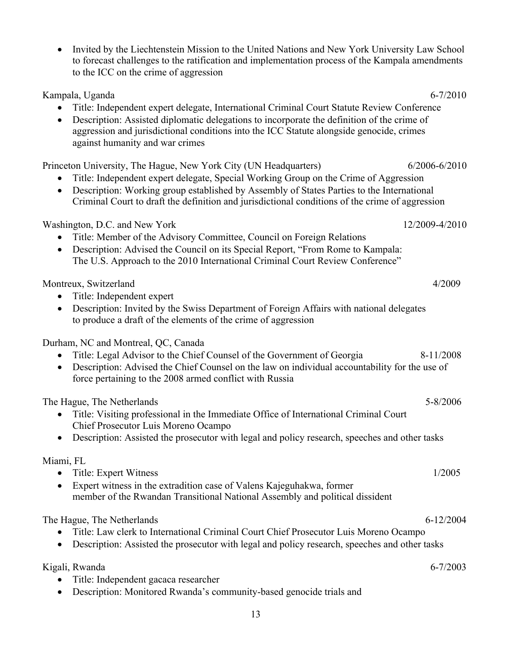| Invited by the Liechtenstein Mission to the United Nations and New York University Law School<br>to forecast challenges to the ratification and implementation process of the Kampala amendments<br>to the ICC on the crime of aggression                                                                                                                             |                |
|-----------------------------------------------------------------------------------------------------------------------------------------------------------------------------------------------------------------------------------------------------------------------------------------------------------------------------------------------------------------------|----------------|
| Kampala, Uganda<br>Title: Independent expert delegate, International Criminal Court Statute Review Conference<br>Description: Assisted diplomatic delegations to incorporate the definition of the crime of<br>$\bullet$<br>aggression and jurisdictional conditions into the ICC Statute alongside genocide, crimes<br>against humanity and war crimes               | $6 - 7/2010$   |
| Princeton University, The Hague, New York City (UN Headquarters)<br>Title: Independent expert delegate, Special Working Group on the Crime of Aggression<br>Description: Working group established by Assembly of States Parties to the International<br>$\bullet$<br>Criminal Court to draft the definition and jurisdictional conditions of the crime of aggression | 6/2006-6/2010  |
| Washington, D.C. and New York<br>Title: Member of the Advisory Committee, Council on Foreign Relations<br>Description: Advised the Council on its Special Report, "From Rome to Kampala:<br>$\bullet$<br>The U.S. Approach to the 2010 International Criminal Court Review Conference"                                                                                | 12/2009-4/2010 |
| Montreux, Switzerland<br>Title: Independent expert<br>Description: Invited by the Swiss Department of Foreign Affairs with national delegates<br>$\bullet$<br>to produce a draft of the elements of the crime of aggression                                                                                                                                           | 4/2009         |
| Durham, NC and Montreal, QC, Canada<br>Title: Legal Advisor to the Chief Counsel of the Government of Georgia<br>Description: Advised the Chief Counsel on the law on individual accountability for the use of<br>$\bullet$<br>force pertaining to the 2008 armed conflict with Russia                                                                                | 8-11/2008      |
| The Hague, The Netherlands<br>• Title: Visiting professional in the Immediate Office of International Criminal Court<br>Chief Prosecutor Luis Moreno Ocampo<br>Description: Assisted the prosecutor with legal and policy research, speeches and other tasks                                                                                                          | 5-8/2006       |
| Miami, FL<br>Title: Expert Witness<br>Expert witness in the extradition case of Valens Kajeguhakwa, former<br>member of the Rwandan Transitional National Assembly and political dissident                                                                                                                                                                            | 1/2005         |
| The Hague, The Netherlands<br>Title: Law clerk to International Criminal Court Chief Prosecutor Luis Moreno Ocampo<br>Description: Assisted the prosecutor with legal and policy research, speeches and other tasks                                                                                                                                                   | $6 - 12/2004$  |
| Kigali, Rwanda<br>Title: Independent gacaca researcher<br>Description: Monitored Rwanda's community-based genocide trials and                                                                                                                                                                                                                                         | $6 - 7/2003$   |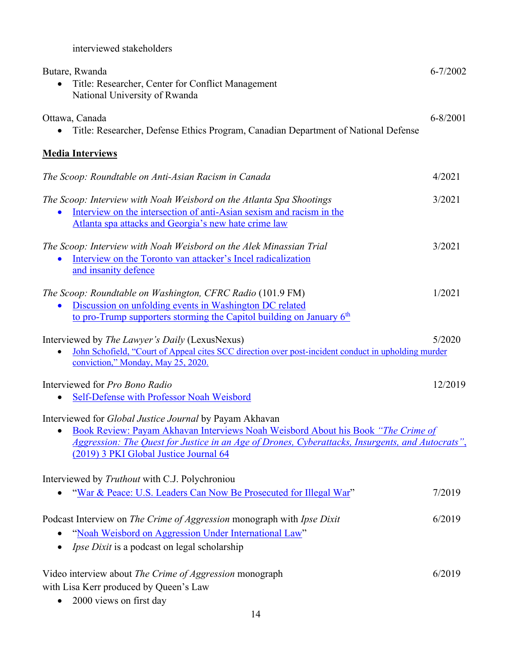interviewed stakeholders

| Butare, Rwanda<br>Title: Researcher, Center for Conflict Management<br>National University of Rwanda                                                                                                                                                                                      | $6 - 7/2002$ |
|-------------------------------------------------------------------------------------------------------------------------------------------------------------------------------------------------------------------------------------------------------------------------------------------|--------------|
| Ottawa, Canada<br>Title: Researcher, Defense Ethics Program, Canadian Department of National Defense                                                                                                                                                                                      | $6 - 8/2001$ |
| <b>Media Interviews</b>                                                                                                                                                                                                                                                                   |              |
| The Scoop: Roundtable on Anti-Asian Racism in Canada                                                                                                                                                                                                                                      | 4/2021       |
| The Scoop: Interview with Noah Weisbord on the Atlanta Spa Shootings<br>Interview on the intersection of anti-Asian sexism and racism in the<br>Atlanta spa attacks and Georgia's new hate crime law                                                                                      | 3/2021       |
| The Scoop: Interview with Noah Weisbord on the Alek Minassian Trial<br>Interview on the Toronto van attacker's Incel radicalization<br>and insanity defence                                                                                                                               | 3/2021       |
| The Scoop: Roundtable on Washington, CFRC Radio (101.9 FM)<br>Discussion on unfolding events in Washington DC related<br>to pro-Trump supporters storming the Capitol building on January 6th                                                                                             | 1/2021       |
| Interviewed by <i>The Lawyer's Daily</i> (LexusNexus)<br>John Schofield, "Court of Appeal cites SCC direction over post-incident conduct in upholding murder<br>conviction," Monday, May 25, 2020.                                                                                        | 5/2020       |
| Interviewed for Pro Bono Radio<br>Self-Defense with Professor Noah Weisbord                                                                                                                                                                                                               | 12/2019      |
| Interviewed for Global Justice Journal by Payam Akhavan<br>Book Review: Payam Akhavan Interviews Noah Weisbord About his Book "The Crime of<br>Aggression: The Quest for Justice in an Age of Drones, Cyberattacks, Insurgents, and Autocrats",<br>(2019) 3 PKI Global Justice Journal 64 |              |
| Interviewed by Truthout with C.J. Polychroniou<br>"War & Peace: U.S. Leaders Can Now Be Prosecuted for Illegal War"                                                                                                                                                                       | 7/2019       |
| Podcast Interview on The Crime of Aggression monograph with Ipse Dixit<br>"Noah Weisbord on Aggression Under International Law"<br><i>Ipse Dixit</i> is a podcast on legal scholarship                                                                                                    | 6/2019       |
| Video interview about The Crime of Aggression monograph<br>with Lisa Kerr produced by Queen's Law<br>2000 views on first day                                                                                                                                                              | 6/2019       |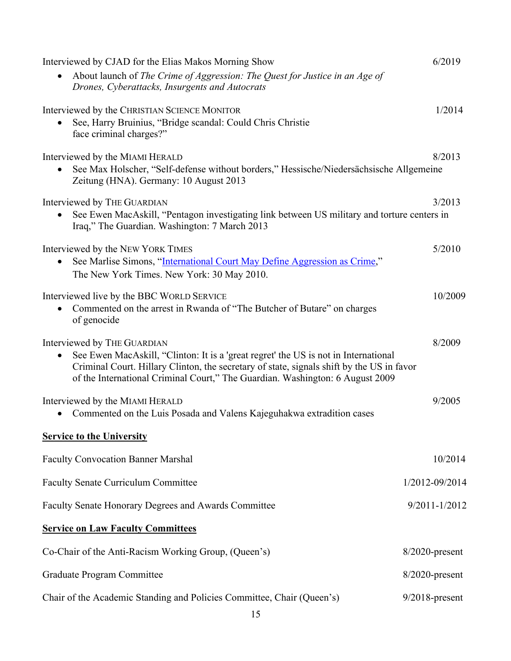| Interviewed by CJAD for the Elias Makos Morning Show                                        | 6/2019            |
|---------------------------------------------------------------------------------------------|-------------------|
| About launch of The Crime of Aggression: The Quest for Justice in an Age of                 |                   |
| Drones, Cyberattacks, Insurgents and Autocrats                                              |                   |
| Interviewed by the CHRISTIAN SCIENCE MONITOR                                                | 1/2014            |
| See, Harry Bruinius, "Bridge scandal: Could Chris Christie                                  |                   |
| face criminal charges?"                                                                     |                   |
| Interviewed by the MIAMI HERALD                                                             | 8/2013            |
| See Max Holscher, "Self-defense without borders," Hessische/Niedersächsische Allgemeine     |                   |
| Zeitung (HNA). Germany: 10 August 2013                                                      |                   |
| Interviewed by THE GUARDIAN                                                                 | 3/2013            |
| See Ewen MacAskill, "Pentagon investigating link between US military and torture centers in |                   |
| Iraq," The Guardian. Washington: 7 March 2013                                               |                   |
| Interviewed by the NEW YORK TIMES                                                           | 5/2010            |
| See Marlise Simons, "International Court May Define Aggression as Crime,"                   |                   |
| The New York Times. New York: 30 May 2010.                                                  |                   |
| Interviewed live by the BBC WORLD SERVICE                                                   | 10/2009           |
| Commented on the arrest in Rwanda of "The Butcher of Butare" on charges                     |                   |
| of genocide                                                                                 |                   |
| Interviewed by THE GUARDIAN                                                                 | 8/2009            |
| See Ewen MacAskill, "Clinton: It is a 'great regret' the US is not in International<br>٠    |                   |
| Criminal Court. Hillary Clinton, the secretary of state, signals shift by the US in favor   |                   |
| of the International Criminal Court," The Guardian. Washington: 6 August 2009               |                   |
| Interviewed by the MIAMI HERALD                                                             | 9/2005            |
| Commented on the Luis Posada and Valens Kajeguhakwa extradition cases                       |                   |
| <b>Service to the University</b>                                                            |                   |
| <b>Faculty Convocation Banner Marshal</b>                                                   | 10/2014           |
|                                                                                             |                   |
| <b>Faculty Senate Curriculum Committee</b>                                                  | 1/2012-09/2014    |
| Faculty Senate Honorary Degrees and Awards Committee                                        | 9/2011-1/2012     |
| <b>Service on Law Faculty Committees</b>                                                    |                   |
| Co-Chair of the Anti-Racism Working Group, (Queen's)                                        | $8/2020$ -present |
| <b>Graduate Program Committee</b>                                                           | $8/2020$ -present |
|                                                                                             |                   |
| Chair of the Academic Standing and Policies Committee, Chair (Queen's)                      | $9/2018$ -present |